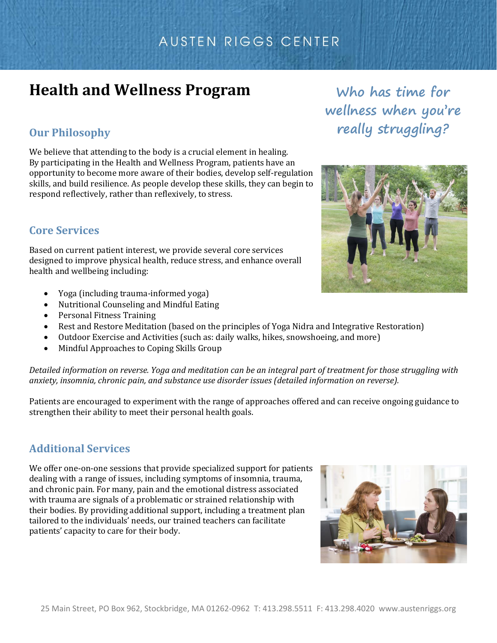## AUSTEN RIGGS CENTER

# **Health and Wellness Program**

## **Our Philosophy**

We believe that attending to the body is a crucial element in healing. By participating in the Health and Wellness Program, patients have an opportunity to become more aware of their bodies, develop self-regulation skills, and build resilience. As people develop these skills, they can begin to respond reflectively, rather than reflexively, to stress.

### **Core Services**

Based on current patient interest, we provide several core services designed to improve physical health, reduce stress, and enhance overall health and wellbeing including:

- Yoga (including trauma-informed yoga)
- Nutritional Counseling and Mindful Eating
- Personal Fitness Training
- Rest and Restore Meditation (based on the principles of Yoga Nidra and Integrative Restoration)
- Outdoor Exercise and Activities (such as: daily walks, hikes, snowshoeing, and more)
- Mindful Approaches to Coping Skills Group

*Detailed information on reverse. Yoga and meditation can be an integral part of treatment for those struggling with anxiety, insomnia, chronic pain, and substance use disorder issues (detailed information on reverse).*

Patients are encouraged to experiment with the range of approaches offered and can receive ongoing guidance to strengthen their ability to meet their personal health goals.

### **Additional Services**

We offer one-on-one sessions that provide specialized support for patients dealing with a range of issues, including symptoms of insomnia, trauma, and chronic pain. For many, pain and the emotional distress associated with trauma are signals of a problematic or strained relationship with their bodies. By providing additional support, including a treatment plan tailored to the individuals' needs, our trained teachers can facilitate patients' capacity to care for their body.

**Who has time for wellness when you're really struggling?**